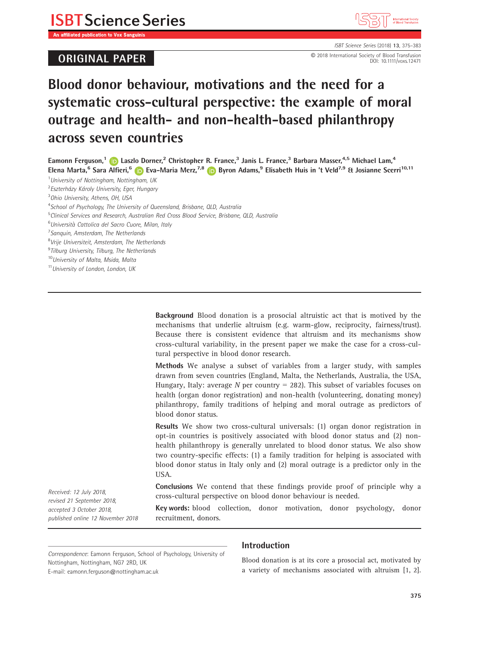# ORIGINAL PAPER 
SAND THE SERVICE OF Blood Transfusion CORIGINAL PAPER



ISBT Science Series (2018) 13, 375–383

DOI: 10.1111/voxs.12471

# Blood donor behaviour, motivations and the need for a systematic cross-cultural perspective: the example of moral outrage and health- and non-health-based philanthropy across seven countries

Eamonn Ferguson,<sup>[1](http://orcid.org/0000-0002-7678-1451)</sup> **D** Laszlo Dorner,<sup>2</sup> Christopher R. France,<sup>3</sup> Janis L. France,<sup>3</sup> Barbara Masser,<sup>4,5</sup> Michael Lam,<sup>4</sup> Elena Marta,<sup>[6](http://orcid.org/0000-0002-2183-240X)</sup> Sara Alfieri,<sup>6</sup> B Eva-Maria Merz,<sup>7,[8](http://orcid.org/0000-0001-5567-7041)</sup> Byron Adams,<sup>9</sup> Elisabeth Huis in 't Veld<sup>7,9</sup> & Josianne Scerri<sup>10,11</sup>

<sup>1</sup> University of Nottingham, Nottingham, UK

<sup>2</sup> Eszterházy Károly University, Eger, Hungary

3 Ohio University, Athens, OH, USA

4 School of Psychology, The University of Queensland, Brisbane, QLD, Australia

<sup>5</sup>Clinical Services and Research, Australian Red Cross Blood Service, Brisbane, QLD, Australia

<sup>6</sup>Università Cattolica del Sacro Cuore, Milan, Italy

<sup>7</sup> Sanquin, Amsterdam, The Netherlands

<sup>8</sup>Vrije Universiteit, Amsterdam, The Netherlands

<sup>9</sup>Tilburg University, Tilburg, The Netherlands

<sup>10</sup>University of Malta, Msida, Malta

<sup>11</sup> University of London, London, UK

Background Blood donation is a prosocial altruistic act that is motived by the mechanisms that underlie altruism (e.g. warm-glow, reciprocity, fairness/trust). Because there is consistent evidence that altruism and its mechanisms show cross-cultural variability, in the present paper we make the case for a cross-cultural perspective in blood donor research.

Methods We analyse a subset of variables from a larger study, with samples drawn from seven countries (England, Malta, the Netherlands, Australia, the USA, Hungary, Italy: average  $N$  per country = 282). This subset of variables focuses on health (organ donor registration) and non-health (volunteering, donating money) philanthropy, family traditions of helping and moral outrage as predictors of blood donor status.

Results We show two cross-cultural universals: (1) organ donor registration in opt-in countries is positively associated with blood donor status and (2) nonhealth philanthropy is generally unrelated to blood donor status. We also show two country-specific effects: (1) a family tradition for helping is associated with blood donor status in Italy only and (2) moral outrage is a predictor only in the USA.

Conclusions We contend that these findings provide proof of principle why a cross-cultural perspective on blood donor behaviour is needed.

Received: 12 July 2018, revised 21 September 2018, accepted 3 October 2018, published online 12 November 2018

Key words: blood collection, donor motivation, donor psychology, donor recruitment, donors.

Correspondence: Eamonn Ferguson, School of Psychology, University of Nottingham, Nottingham, NG7 2RD, UK E-mail: [eamonn.ferguson@nottingham.ac.uk](mailto:)

# Introduction

Blood donation is at its core a prosocial act, motivated by a variety of mechanisms associated with altruism [1, 2].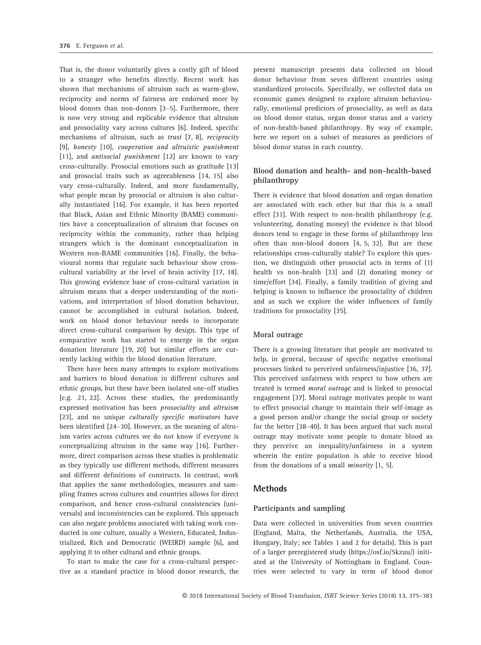That is, the donor voluntarily gives a costly gift of blood to a stranger who benefits directly. Recent work has shown that mechanisms of altruism such as warm-glow, reciprocity and norms of fairness are endorsed more by blood donors than non-donors [3–5]. Furthermore, there is now very strong and replicable evidence that altruism and prosociality vary across cultures [6]. Indeed, specific mechanisms of altruism, such as trust [7, 8], reciprocity [9], honesty [10], cooperation and altruistic punishment [11], and *antisocial punishment* [12] are known to vary cross-culturally. Prosocial emotions such as gratitude [13] and prosocial traits such as agreeableness [14, 15] also vary cross-culturally. Indeed, and more fundamentally, what people mean by prosocial or altruism is also culturally instantiated [16]. For example, it has been reported that Black, Asian and Ethnic Minority (BAME) communities have a conceptualization of altruism that focuses on reciprocity within the community, rather than helping strangers which is the dominant conceptualization in Western non-BAME communities [16]. Finally, the behavioural norms that regulate such behaviour show crosscultural variability at the level of brain activity [17, 18]. This growing evidence base of cross-cultural variation in altruism means that a deeper understanding of the motivations, and interpretation of blood donation behaviour, cannot be accomplished in cultural isolation. Indeed, work on blood donor behaviour needs to incorporate direct cross-cultural comparison by design. This type of comparative work has started to emerge in the organ donation literature [19, 20] but similar efforts are currently lacking within the blood donation literature.

There have been many attempts to explore motivations and barriers to blood donation in different cultures and ethnic groups, but these have been isolated one-off studies [e.g. 21, 22]. Across these studies, the predominantly expressed motivation has been prosociality and altruism [23], and no unique culturally specific motivators have been identified [24–30]. However, as the meaning of altruism varies across cultures we do not know if everyone is conceptualizing altruism in the same way [16]. Furthermore, direct comparison across these studies is problematic as they typically use different methods, different measures and different definitions of constructs. In contrast, work that applies the same methodologies, measures and sampling frames across cultures and countries allows for direct comparison, and hence cross-cultural consistencies (universals) and inconsistencies can be explored. This approach can also negate problems associated with taking work conducted in one culture, usually a Western, Educated, Industrialized, Rich and Democratic (WEIRD) sample [6], and applying it to other cultural and ethnic groups.

To start to make the case for a cross-cultural perspective as a standard practice in blood donor research, the present manuscript presents data collected on blood donor behaviour from seven different countries using standardized protocols. Specifically, we collected data on economic games designed to explore altruism behaviourally, emotional predictors of prosociality, as well as data on blood donor status, organ donor status and a variety of non-health-based philanthropy. By way of example, here we report on a subset of measures as predictors of blood donor status in each country.

# Blood donation and health- and non-health-based philanthropy

There is evidence that blood donation and organ donation are associated with each other but that this is a small effect [31]. With respect to non-health philanthropy (e.g. volunteering, donating money) the evidence is that blood donors tend to engage in these forms of philanthropy less often than non-blood donors [4, 5, 32]. But are these relationships cross-culturally stable? To explore this question, we distinguish other prosocial acts in terms of (1) health vs non-health [33] and (2) donating money or time/effort [34]. Finally, a family tradition of giving and helping is known to influence the prosociality of children and as such we explore the wider influences of family traditions for prosociality [35].

#### Moral outrage

There is a growing literature that people are motivated to help, in general, because of specific negative emotional processes linked to perceived unfairness/injustice [36, 37]. This perceived unfairness with respect to how others are treated is termed moral outrage and is linked to prosocial engagement [37]. Moral outrage motivates people to want to effect prosocial change to maintain their self-image as a good person and/or change the social group or society for the better [38–40]. It has been argued that such moral outrage may motivate some people to donate blood as they perceive an inequality/unfairness in a system wherein the entire population is able to receive blood from the donations of a small minority [1, 5].

# Methods

### Participants and sampling

Data were collected in universities from seven countries (England, Malta, the Netherlands, Australia, the USA, Hungary, Italy; see Tables 1 and 2 for details). This is part of a larger preregistered study (<https://osf.io/5kzuu/>) initiated at the University of Nottingham in England. Countries were selected to vary in term of blood donor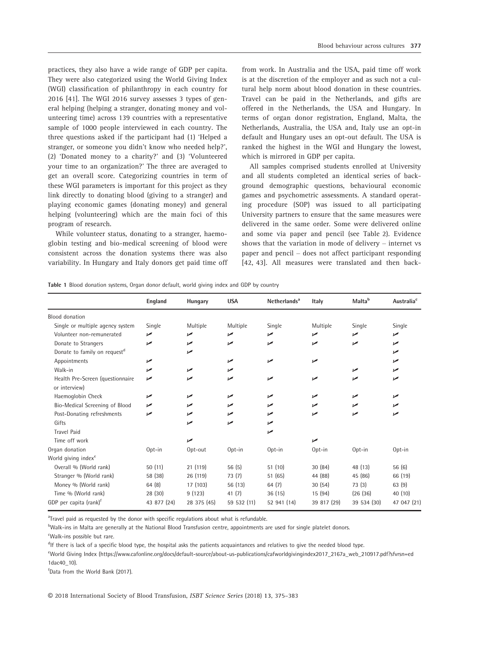practices, they also have a wide range of GDP per capita. They were also categorized using the World Giving Index (WGI) classification of philanthropy in each country for 2016 [41]. The WGI 2016 survey assesses 3 types of general helping (helping a stranger, donating money and volunteering time) across 139 countries with a representative sample of 1000 people interviewed in each country. The three questions asked if the participant had (1) 'Helped a stranger, or someone you didn't know who needed help?', (2) 'Donated money to a charity?' and (3) 'Volunteered your time to an organization?' The three are averaged to get an overall score. Categorizing countries in term of these WGI parameters is important for this project as they link directly to donating blood (giving to a stranger) and playing economic games (donating money) and general helping (volunteering) which are the main foci of this program of research.

While volunteer status, donating to a stranger, haemoglobin testing and bio-medical screening of blood were consistent across the donation systems there was also variability. In Hungary and Italy donors get paid time off from work. In Australia and the USA, paid time off work is at the discretion of the employer and as such not a cultural help norm about blood donation in these countries. Travel can be paid in the Netherlands, and gifts are offered in the Netherlands, the USA and Hungary. In terms of organ donor registration, England, Malta, the Netherlands, Australia, the USA and, Italy use an opt-in default and Hungary uses an opt-out default. The USA is ranked the highest in the WGI and Hungary the lowest, which is mirrored in GDP per capita.

All samples comprised students enrolled at University and all students completed an identical series of background demographic questions, behavioural economic games and psychometric assessments. A standard operating procedure (SOP) was issued to all participating University partners to ensure that the same measures were delivered in the same order. Some were delivered online and some via paper and pencil (see Table 2). Evidence shows that the variation in mode of delivery – internet vs paper and pencil – does not affect participant responding [42, 43]. All measures were translated and then back-

Table 1 Blood donation systems, Organ donor default, world giving index and GDP by country

|                                          | England     | <b>Hungary</b> | <b>USA</b>  | Netherlands <sup>a</sup> | Italy       | Malta <sup>b</sup> | Australia <sup>c</sup> |
|------------------------------------------|-------------|----------------|-------------|--------------------------|-------------|--------------------|------------------------|
| Blood donation                           |             |                |             |                          |             |                    |                        |
| Single or multiple agency system         | Single      | Multiple       | Multiple    | Single                   | Multiple    | Single             | Single                 |
| Volunteer non-remunerated                | مما         | مما            | ↙           | مما                      | مما         | مما                | مما                    |
| Donate to Strangers                      | ↙           | مما            | ↙           | $\overline{v}$           | مما         | مما                | مما                    |
| Donate to family on request <sup>d</sup> |             | مما            |             |                          |             |                    | مما                    |
| Appointments                             | مما         |                | ↙           | $\overline{v}$           | مما         |                    | مما                    |
| Walk-in                                  | مما         | مما            | ↙           |                          |             |                    | مما                    |
| Health Pre-Screen (questionnaire         | ↙           | مما            | ↙           | ↙                        | مما         | مما                | $\overline{v}$         |
| or interview)                            |             |                |             |                          |             |                    |                        |
| Haemoglobin Check                        | ↙           | ↙              | ↙           | ↙                        | مما         |                    | مما                    |
| Bio-Medical Screening of Blood           | ↙           | ↙              | ↙           | ↙                        | ممرا        | مما                | ↙                      |
| Post-Donating refreshments               | ↙           | مما            | ↙           | $\overline{v}$           | مما         | مما                | $\overline{v}$         |
| Gifts                                    |             | ↙              | ↙           | $\overline{v}$           |             |                    |                        |
| <b>Travel Paid</b>                       |             |                |             | $\overline{v}$           |             |                    |                        |
| Time off work                            |             | ↙              |             |                          | مما         |                    |                        |
| Organ donation                           | Opt-in      | Opt-out        | Opt-in      | Opt-in                   | Opt-in      | Opt-in             | Opt-in                 |
| World giving index <sup>e</sup>          |             |                |             |                          |             |                    |                        |
| Overall % (World rank)                   | 50(11)      | 21 (119)       | 56(5)       | 51(10)                   | 30(84)      | 48 (13)            | 56(6)                  |
| Stranger % (World rank)                  | 58 (38)     | 26 (119)       | 73 (7)      | 51 (65)                  | 44 (88)     | 45 (86)            | 66 (19)                |
| Money % (World rank)                     | 64(8)       | 17 (103)       | 56 (13)     | 64(7)                    | 30(54)      | 73(3)              | 63(9)                  |
| Time % (World rank)                      | 28 (30)     | 9(123)         | 41(7)       | 36 (15)                  | 15 (94)     | (26(36))           | 40 (10)                |
| GDP per capita (rank) <sup>f</sup>       | 43 877 (24) | 28 375 (45)    | 59 532 (11) | 52 941 (14)              | 39 817 (29) | 39 534 (30)        | 47 047 (21)            |

<sup>a</sup>Travel paid as requested by the donor with specific regulations about what is refundable.

<sup>b</sup>Walk-ins in Malta are generally at the National Blood Transfusion centre, appointments are used for single platelet donors.

<sup>c</sup>Walk-ins possible but rare.

<sup>d</sup>If there is lack of a specific blood type, the hospital asks the patients acquaintances and relatives to give the needed blood type.

e World Giving Index [\(https://www.cafonline.org/docs/default-source/about-us-publications/cafworldgivingindex2017\\_2167a\\_web\\_210917.pdf?sfvrsn=ed](https://www.cafonline.org/docs/default-source/about-us-publications/cafworldgivingindex2017_2167a_web_210917.pdf?sfvrsn=ed1dac40_10) [1dac40\\_10](https://www.cafonline.org/docs/default-source/about-us-publications/cafworldgivingindex2017_2167a_web_210917.pdf?sfvrsn=ed1dac40_10)).

f Data from the World Bank (2017).

© 2018 International Society of Blood Transfusion, ISBT Science Series (2018) 13, 375–383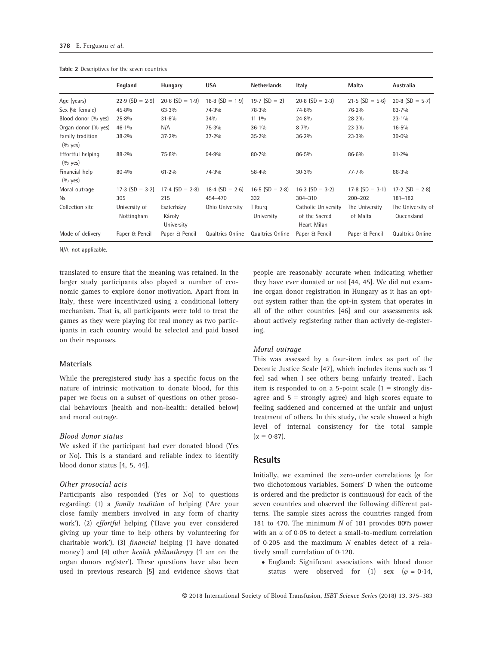|                                 | <b>England</b>              | Hungary                            | <b>USA</b>              | Netherlands           | Italy                                               | Malta                      | Australia                       |
|---------------------------------|-----------------------------|------------------------------------|-------------------------|-----------------------|-----------------------------------------------------|----------------------------|---------------------------------|
| Age (years)                     | $22.9$ (SD = 2.9)           | $20.6$ (SD = 1.9)                  | $18.8$ (SD = 1.9)       | $19.7$ (SD = 2)       | $20.8$ (SD = 2.3)                                   | $21.5$ (SD = 5.6)          | $20.8$ (SD = 5.7)               |
| Sex (% female)                  | 45.8%                       | 63.3%                              | 74.3%                   | 78.3%                 | 74.8%                                               | 76.2%                      | 63.7%                           |
| Blood donor (% yes)             | 25.8%                       | 31.6%                              | 34%                     | $11 \cdot 1\%$        | 24.8%                                               | 28.2%                      | $23.1\%$                        |
| Organ donor (% yes)             | 46.1%                       | N/A                                | 75.3%                   | 36.1%                 | 8.7%                                                | 23.3%                      | 16.5%                           |
| Family tradition<br>$(0/0$ yes) | 38.2%                       | 37.2%                              | $37.2\%$                | 35.2%                 | 36.2%                                               | 23.3%                      | 39.0%                           |
| Effortful helping<br>$(%$ yes)  | 88.2%                       | 75.8%                              | 94.9%                   | $80 - 7%$             | 86.5%                                               | 86.6%                      | $91.2\%$                        |
| Financial help<br>$(%$ yes)     | 80.4%                       | 61.2%                              | 74.3%                   | 58.4%                 | 30.3%                                               | 77.7%                      | 66.3%                           |
| Moral outrage                   | $17.3$ (SD = 3.2)           | $17.4$ (SD = 2.8)                  | $18.4$ (SD = 2.6)       | $16.5$ (SD = 2.8)     | $16.3$ (SD = $3.2$ )                                | $17.8$ (SD = 3.1)          | $17.2$ (SD = 2.8)               |
| <b>Ns</b>                       | 305                         | 215                                | 454 - 470               | 332                   | 304 - 310                                           | $200 - 202$                | $181 - 182$                     |
| Collection site                 | University of<br>Nottingham | Eszterházy<br>Károly<br>University | Ohio University         | Tilburg<br>University | Catholic University<br>of the Sacred<br>Heart Milan | The University<br>of Malta | The University of<br>Queensland |
| Mode of delivery                | Paper & Pencil              | Paper & Pencil                     | <b>Qualtrics Online</b> | Qualtrics Online      | Paper & Pencil                                      | Paper & Pencil             | Qualtrics Online                |

Table 2 Descriptives for the seven countries

N/A, not applicable.

translated to ensure that the meaning was retained. In the larger study participants also played a number of economic games to explore donor motivation. Apart from in Italy, these were incentivized using a conditional lottery mechanism. That is, all participants were told to treat the games as they were playing for real money as two participants in each country would be selected and paid based on their responses.

#### **Materials**

While the preregistered study has a specific focus on the nature of intrinsic motivation to donate blood, for this paper we focus on a subset of questions on other prosocial behaviours (health and non-health: detailed below) and moral outrage.

#### Blood donor status

We asked if the participant had ever donated blood (Yes or No). This is a standard and reliable index to identify blood donor status [4, 5, 44].

#### Other prosocial acts

Participants also responded (Yes or No) to questions regarding: (1) a family tradition of helping ('Are your close family members involved in any form of charity work'), (2) effortful helping ('Have you ever considered giving up your time to help others by volunteering for charitable work'), (3) financial helping ('I have donated money') and (4) other health philanthropy ('I am on the organ donors register'). These questions have also been used in previous research [5] and evidence shows that people are reasonably accurate when indicating whether they have ever donated or not [44, 45]. We did not examine organ donor registration in Hungary as it has an optout system rather than the opt-in system that operates in all of the other countries [46] and our assessments ask about actively registering rather than actively de-registering.

#### Moral outrage

This was assessed by a four-item index as part of the Deontic Justice Scale [47], which includes items such as 'I feel sad when I see others being unfairly treated'. Each item is responded to on a 5-point scale  $(1 =$  strongly disagree and  $5 =$  strongly agree) and high scores equate to feeling saddened and concerned at the unfair and unjust treatment of others. In this study, the scale showed a high level of internal consistency for the total sample  $(\alpha = 0.87)$ .

#### Results

Initially, we examined the zero-order correlations ( $\varphi$  for two dichotomous variables, Somers' D when the outcome is ordered and the predictor is continuous) for each of the seven countries and observed the following different patterns. The sample sizes across the countries ranged from 181 to 470. The minimum  $N$  of 181 provides 80% power with an  $\alpha$  of 0.05 to detect a small-to-medium correlation of 0.205 and the maximum  $N$  enables detect of a relatively small correlation of 0.128.

• England: Significant associations with blood donor status were observed for (1) sex ( $\varphi = 0.14$ ,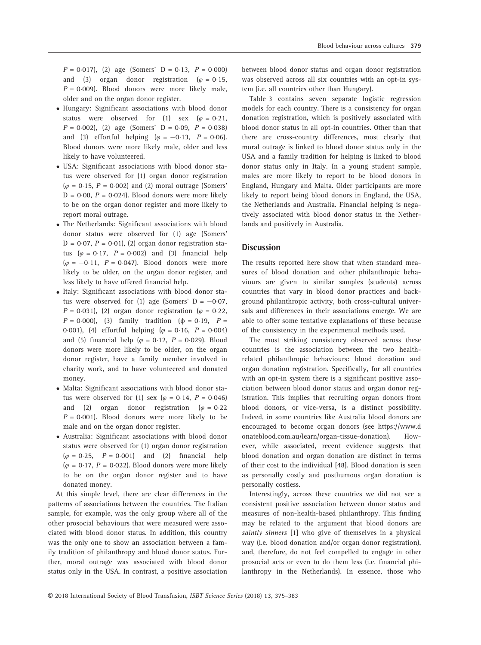$P = 0.017$ , (2) age (Somers' D = 0.13,  $P = 0.000$ ) and (3) organ donor registration ( $\varphi = 0.15$ ,  $P = 0.009$ ). Blood donors were more likely male, older and on the organ donor register.

- Hungary: Significant associations with blood donor status were observed for (1) sex ( $\varphi = 0.21$ ,  $P = 0.002$ , (2) age (Somers' D = 0.09,  $P = 0.038$ ) and (3) effortful helping ( $\varphi = -0.13$ ,  $P = 0.06$ ). Blood donors were more likely male, older and less likely to have volunteered.
- USA: Significant associations with blood donor status were observed for (1) organ donor registration  $(\varphi = 0.15, P = 0.002)$  and (2) moral outrage (Somers'  $D = 0.08$ ,  $P = 0.024$ ). Blood donors were more likely to be on the organ donor register and more likely to report moral outrage.
- The Netherlands: Significant associations with blood donor status were observed for (1) age (Somers'  $D = 0.07$ ,  $P = 0.01$ , (2) organ donor registration status ( $\varphi = 0.17$ ,  $P = 0.002$ ) and (3) financial help  $(\varphi = -0.11, P = 0.047)$ . Blood donors were more likely to be older, on the organ donor register, and less likely to have offered financial help.
- Italy: Significant associations with blood donor status were observed for (1) age (Somers'  $D = -0.07$ ,  $P = 0.031$ , (2) organ donor registration ( $\varphi = 0.22$ ,  $P = 0.000$ , (3) family tradition ( $\phi = 0.19$ ,  $P =$ 0.001), (4) effortful helping ( $\varphi = 0.16$ ,  $P = 0.004$ ) and (5) financial help ( $\varphi = 0.12$ ,  $P = 0.029$ ). Blood donors were more likely to be older, on the organ donor register, have a family member involved in charity work, and to have volunteered and donated money.
- Malta: Significant associations with blood donor status were observed for (1) sex ( $\varphi = 0.14$ ,  $P = 0.046$ ) and (2) organ donor registration ( $\varphi = 0.22$  $P = 0.001$ ). Blood donors were more likely to be male and on the organ donor register.
- Australia: Significant associations with blood donor status were observed for (1) organ donor registration  $(\varphi = 0.25, P = 0.001)$  and (2) financial help ( $\varphi$  = 0.17, P = 0.022). Blood donors were more likely to be on the organ donor register and to have donated money.

At this simple level, there are clear differences in the patterns of associations between the countries. The Italian sample, for example, was the only group where all of the other prosocial behaviours that were measured were associated with blood donor status. In addition, this country was the only one to show an association between a family tradition of philanthropy and blood donor status. Further, moral outrage was associated with blood donor status only in the USA. In contrast, a positive association between blood donor status and organ donor registration was observed across all six countries with an opt-in system (i.e. all countries other than Hungary).

Table 3 contains seven separate logistic regression models for each country. There is a consistency for organ donation registration, which is positively associated with blood donor status in all opt-in countries. Other than that there are cross-country differences, most clearly that moral outrage is linked to blood donor status only in the USA and a family tradition for helping is linked to blood donor status only in Italy. In a young student sample, males are more likely to report to be blood donors in England, Hungary and Malta. Older participants are more likely to report being blood donors in England, the USA, the Netherlands and Australia. Financial helping is negatively associated with blood donor status in the Netherlands and positively in Australia.

# **Discussion**

The results reported here show that when standard measures of blood donation and other philanthropic behaviours are given to similar samples (students) across countries that vary in blood donor practices and background philanthropic activity, both cross-cultural universals and differences in their associations emerge. We are able to offer some tentative explanations of these because of the consistency in the experimental methods used.

The most striking consistency observed across these countries is the association between the two healthrelated philanthropic behaviours: blood donation and organ donation registration. Specifically, for all countries with an opt-in system there is a significant positive association between blood donor status and organ donor registration. This implies that recruiting organ donors from blood donors, or vice-versa, is a distinct possibility. Indeed, in some countries like Australia blood donors are encouraged to become organ donors (see [https://www.d](https://www.donateblood.com.au/learn/organ-tissue-donation) [onateblood.com.au/learn/organ-tissue-donation](https://www.donateblood.com.au/learn/organ-tissue-donation)). However, while associated, recent evidence suggests that blood donation and organ donation are distinct in terms of their cost to the individual [48]. Blood donation is seen as personally costly and posthumous organ donation is personally costless.

Interestingly, across these countries we did not see a consistent positive association between donor status and measures of non-health-based philanthropy. This finding may be related to the argument that blood donors are saintly sinners [1] who give of themselves in a physical way (i.e. blood donation and/or organ donor registration), and, therefore, do not feel compelled to engage in other prosocial acts or even to do them less (i.e. financial philanthropy in the Netherlands). In essence, those who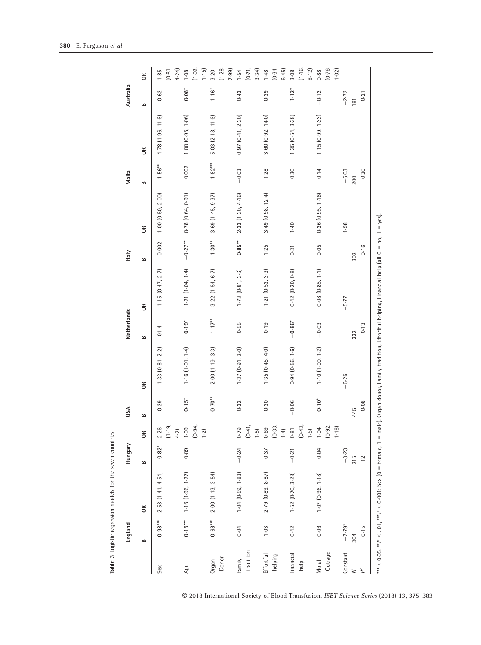|           | England   |                               | Hungary        |                   | υsΑ       |                 | Netherlands |                      | Italy     |                       | Malta     |                   | Australia |                    |
|-----------|-----------|-------------------------------|----------------|-------------------|-----------|-----------------|-------------|----------------------|-----------|-----------------------|-----------|-------------------|-----------|--------------------|
|           | $\approx$ | $\epsilon$                    | $\approx$      | $\epsilon$        | $\approx$ | E               | $\approx$   | $\frac{8}{2}$        | $\approx$ | E                     | $\approx$ | E                 | $\approx$ | $\approx$          |
| Sex       | $0.93***$ | 2.53(1.41, 4.54)              | $0.82*$        | 2.26              | 0.29      | 1.33(0.81, 2.2) | 01.4        | 1.15(0.47, 2.7)      | $-0.002$  | 1.00 (0.50, 2.00)     | $1.56**$  | 4.78 (1.96, 11.6) | 0.62      | 1.85               |
|           |           |                               |                | (1.19,<br>$4 - 2$ |           |                 |             |                      |           |                       |           |                   |           | 4.24<br>(0.81)     |
| Age       |           | $0.15***$ 1.16 $(1.96, 1.27)$ | 0.09           | 1.09              | $0.15*$   | 1.16(1.01, 1.4) | $0.19*$     | 1.21(1.04, 1.4)      | $-0.27**$ | $0.78$ $(0.64, 0.91)$ | 0.002     | 1.00(0.95, 1.06)  | $0.08*$   | 1.08               |
|           |           |                               |                | (0.94,<br>$1-2)$  |           |                 |             |                      |           |                       |           |                   |           | (1.02)<br>$1 - 15$ |
| Organ     | $0.68***$ | 2.00(1.13, 3.54)              |                |                   | $0.70**$  | 2.00(1.19, 3.3) | $1.17**$    | $3.22$ $(1.54, 6.7)$ | $1.30**$  | $3.69$ $(1.45, 9.37)$ | $1.62***$ | 5-03 (2-18, 11-6) | $1.16*$   | $3 - 20$           |
| Donor     |           |                               |                |                   |           |                 |             |                      |           |                       |           |                   |           | (1.28,             |
|           |           |                               |                |                   |           |                 |             |                      |           |                       |           |                   |           | 7.99               |
| Family    | 0.04      | 1.04(0.59, 1.83)              | $-0.24$        | 0.79              | 0.32      | 1.37(0.91, 2.0) | 0.55        | 1.73(0.81, 3.6)      | $0.85**$  | $2.33$ $(1.30, 4.16)$ | $-0.03$   | 0.97(0.41, 2.30)  | 0.43      | 1.54               |
| tradition |           |                               |                | (0.41,            |           |                 |             |                      |           |                       |           |                   |           | (0.71,             |
|           |           |                               |                | $1 - 5$           |           |                 |             |                      |           |                       |           |                   |           | 3.34               |
| Effortful | $1-03$    | 2.79 (0.89, 8.87)             | $-0.37$        | 0.69              | 0.30      | 1.35(0.45, 4.0) | 0.19        | 1.21 (0.53, 3.3)     | 1.25      | 3.49(0.98, 12.4)      | 1.28      | 3.60(0.92, 14.0)  | 0.39      | 1.48               |
| helping   |           |                               |                | (0.33)            |           |                 |             |                      |           |                       |           |                   |           | (0.34,             |
|           |           |                               |                | $1-4$             |           |                 |             |                      |           |                       |           |                   |           | 6.45               |
| Financial | 0.42      | 1.52(0.70, 3.28)              | $-0.21$        | 0.81              | $-0.06$   | 0.94(0.56, 1.6) | $-0.86^*$   | 0.42(0.20, 0.8)      | 0.31      | 1.40                  | 0.30      | 1.35(0.54, 3.38)  | $1.12*$   | 3.08               |
| help      |           |                               |                | (0.43,            |           |                 |             |                      |           |                       |           |                   |           | (1.16,             |
|           |           |                               |                | (5.1)             |           |                 |             |                      |           |                       |           |                   |           | 8.12               |
| Moral     | 0.06      | $1.07$ $(0.96, 1.18)$         | 0.04           | 1.04              | $0.10*$   | 1.10(1.00, 1.2) | $-0.03$     | $0.08$ $(0.85, 1.1)$ | 0.05      | $0.36$ $(0.95, 1.16)$ | 0.14      | 1.15(0.99, 1.33)  | $-0.12$   | 0.88               |
| Outrage   |           |                               |                | (0.92,            |           |                 |             |                      |           |                       |           |                   |           | (0.76,             |
|           |           |                               |                | 1.18              |           |                 |             |                      |           |                       |           |                   |           | 1.02               |
| Constant  | $-7.79*$  |                               | $-3.23$        |                   |           | $-6.26$         |             | $-5.77$              |           | 1.98                  | $-6.03$   |                   | $-2.72$   |                    |
| $\geq$    | 304       |                               | 215            |                   | 445       |                 | 332         |                      | 302       |                       | 200       |                   | 181       |                    |
| ᢘ         | 0.15      |                               | $\overline{c}$ |                   | 0.08      |                 | 0.13        |                      | 0.16      |                       | 0.20      |                   | 0.21      |                    |

Table 3 Logistic regression models for the seven countries Table 3 Logistic regression models for the seven countries

© 2018 International Society of Blood Transfusion, ISBT Science Series (2018) 13, 375–383

\*P < 005, \*\*P < . 01, \*\*\*P < 0001: Sex (0 = female, 1 = male). Organ donor, Family tradition, Effortful helping, Financial help (all 0 = no, 1 = yes).

\*P < 0.05, \*\*P < . 01, \*\*\*P < 0.001: Sex (0 = female, 1 = male). Organ donor, Family tradition, Effortful helping, Financial help (all 0 = no, 1 = yes).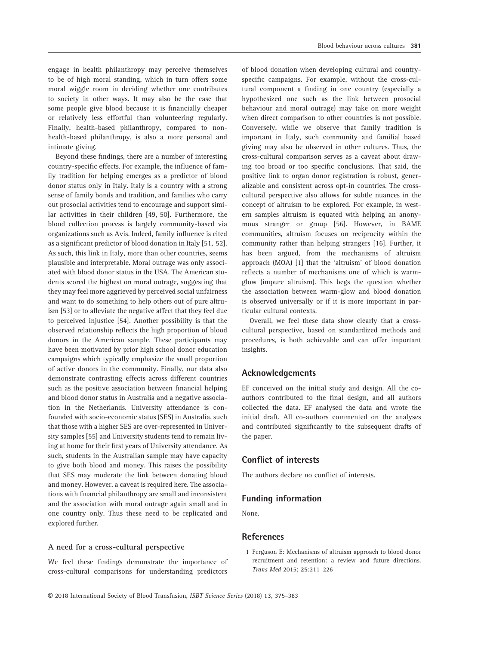engage in health philanthropy may perceive themselves to be of high moral standing, which in turn offers some moral wiggle room in deciding whether one contributes to society in other ways. It may also be the case that some people give blood because it is financially cheaper or relatively less effortful than volunteering regularly. Finally, health-based philanthropy, compared to nonhealth-based philanthropy, is also a more personal and intimate giving.

Beyond these findings, there are a number of interesting country-specific effects. For example, the influence of family tradition for helping emerges as a predictor of blood donor status only in Italy. Italy is a country with a strong sense of family bonds and tradition, and families who carry out prosocial activities tend to encourage and support similar activities in their children [49, 50]. Furthermore, the blood collection process is largely community-based via organizations such as Avis. Indeed, family influence is cited as a significant predictor of blood donation in Italy [51, 52]. As such, this link in Italy, more than other countries, seems plausible and interpretable. Moral outrage was only associated with blood donor status in the USA. The American students scored the highest on moral outrage, suggesting that they may feel more aggrieved by perceived social unfairness and want to do something to help others out of pure altruism [53] or to alleviate the negative affect that they feel due to perceived injustice [54]. Another possibility is that the observed relationship reflects the high proportion of blood donors in the American sample. These participants may have been motivated by prior high school donor education campaigns which typically emphasize the small proportion of active donors in the community. Finally, our data also demonstrate contrasting effects across different countries such as the positive association between financial helping and blood donor status in Australia and a negative association in the Netherlands. University attendance is confounded with socio-economic status (SES) in Australia, such that those with a higher SES are over-represented in University samples [55] and University students tend to remain living at home for their first years of University attendance. As such, students in the Australian sample may have capacity to give both blood and money. This raises the possibility that SES may moderate the link between donating blood and money. However, a caveat is required here. The associations with financial philanthropy are small and inconsistent and the association with moral outrage again small and in one country only. Thus these need to be replicated and explored further.

#### A need for a cross-cultural perspective

We feel these findings demonstrate the importance of cross-cultural comparisons for understanding predictors

of blood donation when developing cultural and countryspecific campaigns. For example, without the cross-cultural component a finding in one country (especially a hypothesized one such as the link between prosocial behaviour and moral outrage) may take on more weight when direct comparison to other countries is not possible. Conversely, while we observe that family tradition is important in Italy, such community and familial based giving may also be observed in other cultures. Thus, the cross-cultural comparison serves as a caveat about drawing too broad or too specific conclusions. That said, the positive link to organ donor registration is robust, generalizable and consistent across opt-in countries. The crosscultural perspective also allows for subtle nuances in the concept of altruism to be explored. For example, in western samples altruism is equated with helping an anonymous stranger or group [56]. However, in BAME communities, altruism focuses on reciprocity within the community rather than helping strangers [16]. Further, it has been argued, from the mechanisms of altruism approach (MOA) [1] that the 'altruism' of blood donation reflects a number of mechanisms one of which is warmglow (impure altruism). This begs the question whether the association between warm-glow and blood donation is observed universally or if it is more important in particular cultural contexts.

Overall, we feel these data show clearly that a crosscultural perspective, based on standardized methods and procedures, is both achievable and can offer important insights.

#### Acknowledgements

EF conceived on the initial study and design. All the coauthors contributed to the final design, and all authors collected the data. EF analysed the data and wrote the initial draft. All co-authors commented on the analyses and contributed significantly to the subsequent drafts of the paper.

# Conflict of interests

The authors declare no conflict of interests.

#### Funding information

None.

#### References

1 Ferguson E: Mechanisms of altruism approach to blood donor recruitment and retention: a review and future directions. Trans Med 2015; 25:211–226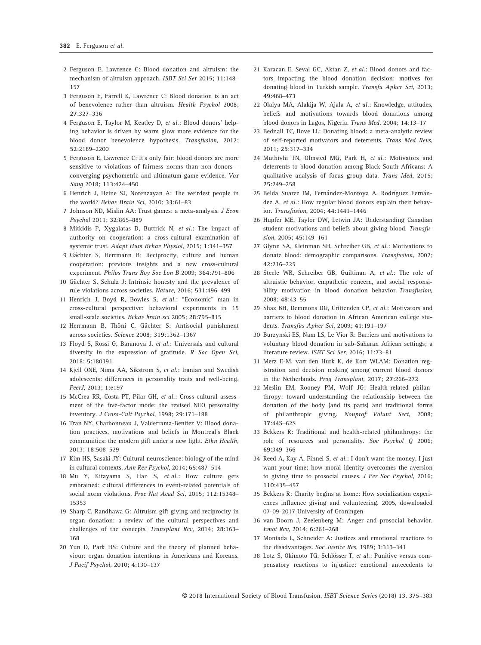- 2 Ferguson E, Lawrence C: Blood donation and altruism: the mechanism of altruism approach. ISBT Sci Ser 2015; 11:148– 157
- 3 Ferguson E, Farrell K, Lawrence C: Blood donation is an act of benevolence rather than altruism. Health Psychol 2008; 27:327–336
- 4 Ferguson E, Taylor M, Keatley D, et al.: Blood donors' helping behavior is driven by warm glow more evidence for the blood donor benevolence hypothesis. Transfusion, 2012; 52:2189–2200
- 5 Ferguson E, Lawrence C: It's only fair: blood donors are more sensitive to violations of fairness norms than non-donors – converging psychometric and ultimatum game evidence. Vox Sang 2018; 113:424–450
- 6 Henrich J, Heine SJ, Norenzayan A: The weirdest people in the world? Behav Brain Sci, 2010; 33:61-83
- 7 Johnson ND, Mislin AA: Trust games: a meta-analysis. J Econ Psychol 2011; 32:865–889
- 8 Mitkidis P, Xygalatas D, Buttrick N, et al.: The impact of authority on cooperation: a cross-cultural examination of systemic trust. Adapt Hum Behav Physiol, 2015; 1:341–357
- 9 Gächter S, Herrmann B: Reciprocity, culture and human cooperation: previous insights and a new cross-cultural experiment. Philos Trans Roy Soc Lon B 2009; 364:791–806
- 10 Gächter S, Schulz J: Intrinsic honesty and the prevalence of rule violations across societies. Nature, 2016; 531:496–499
- 11 Henrich J, Boyd R, Bowles S, et al.: "Economic" man in cross-cultural perspective: behavioral experiments in 15 small-scale societies. Behav brain sci 2005; 28:795–815
- 12 Herrmann B, Thöni C, Gächter S: Antisocial punishment across societies. Science 2008; 319:1362–1367
- 13 Floyd S, Rossi G, Baranova J, et al.: Universals and cultural diversity in the expression of gratitude. R Soc Open Sci, 2018; 5:180391
- 14 Kjell ONE, Nima AA, Sikstrom S, et al.: Iranian and Swedish adolescents: differences in personality traits and well-being. PeerJ, 2013; 1:e197
- 15 McCrea RR, Costa PT, Pilar GH, et al.: Cross-cultural assessment of the five-factor mode: the revised NEO personality inventory. J Cross-Cult Psychol, 1998; 29:171–188
- 16 Tran NY, Charbonneau J, Valderrama-Benitez V: Blood donation practices, motivations and beliefs in Montreal's Black communities: the modern gift under a new light. Ethn Health, 2013; 18:508–529
- 17 Kim HS, Sasaki JY: Cultural neuroscience: biology of the mind in cultural contexts. Ann Rev Psychol, 2014; 65:487–514
- 18 Mu Y, Kitayama S, Han S, et al.: How culture gets embrained: cultural differences in event-related potentials of social norm violations. Proc Nat Acad Sci, 2015; 112:15348– 15353
- 19 Sharp C, Randhawa G: Altruism gift giving and reciprocity in organ donation: a review of the cultural perspectives and challenges of the concepts. Transplant Rev, 2014; 28:163– 168
- 20 Yun D, Park HS: Culture and the theory of planned behaviour: organ donation intentions in Americans and Koreans. J Pacif Psychol, 2010; 4:130–137
- 21 Karacan E, Seval GC, Aktan Z, et al.: Blood donors and factors impacting the blood donation decision: motives for donating blood in Turkish sample. Transfu Apher Sci, 2013; 49:468–473
- 22 Olaiya MA, Alakija W, Ajala A, et al.: Knowledge, attitudes, beliefs and motivations towards blood donations among blood donors in Lagos, Nigeria. Trans Med, 2004; 14:13–17
- 23 Bednall TC, Bove LL: Donating blood: a meta-analytic review of self-reported motivators and deterrents. Trans Med Revs, 2011; 25:317–334
- 24 Muthivhi TN, Olmsted MG, Park H, et al.: Motivators and deterrents to blood donation among Black South Africans: A qualitative analysis of focus group data. Trans Med, 2015; 25:249–258
- 25 Belda Suarez IM, Fernández-Montoya A, Rodríguez Fernández A, et al.: How regular blood donors explain their behavior. Transfusion, 2004; 44:1441–1446
- 26 Hupfer ME, Taylor DW, Letwin JA: Understanding Canadian student motivations and beliefs about giving blood. Transfusion, 2005; 45:149–161
- 27 Glynn SA, Kleinman SH, Schreiber GB, et al.: Motivations to donate blood: demographic comparisons. Transfusion, 2002; 42:216–225
- 28 Steele WR, Schreiber GB, Guiltinan A, et al.: The role of altruistic behavior, empathetic concern, and social responsibility motivation in blood donation behavior. Transfusion, 2008; 48:43–55
- 29 Shaz BH, Demmons DG, Crittenden CP, et al.: Motivators and barriers to blood donation in African American college students. Transfus Apher Sci, 2009; 41:191–197
- 30 Burzynski ES, Nam LS, Le Vior R: Barriers and motivations to voluntary blood donation in sub-Saharan African settings; a literature review. ISBT Sci Ser, 2016; 11:73–81
- 31 Merz E-M, van den Hurk K, de Kort WLAM: Donation registration and decision making among current blood donors in the Netherlands. Prog Transplant, 2017; 27:266–272
- 32 Meslin EM, Rooney PM, Wolf JG: Health-related philanthropy: toward understanding the relationship between the donation of the body (and its parts) and traditional forms of philanthropic giving. Nonprof Volunt Sect, 2008; 37:44S–62S
- 33 Bekkers R: Traditional and health-related philanthropy: the role of resources and personality. Soc Psychol Q 2006; 69:349–366
- 34 Reed A, Kay A, Finnel S, et al.: I don't want the money, I just want your time: how moral identity overcomes the aversion to giving time to prosocial causes. J Per Soc Psychol, 2016; 110:435–457
- 35 Bekkers R: Charity begins at home: How socialization experiences influence giving and volunteering. 2005, downloaded 07-09-2017 University of Groningen
- 36 van Doorn J, Zeelenberg M: Anger and prosocial behavior. Emot Rev, 2014; 6:261–268
- 37 Montada L, Schneider A: Justices and emotional reactions to the disadvantages. Soc Justice Res, 1989; 3:313–341
- 38 Lotz S, Okimoto TG, Schlösser T, et al.: Punitive versus compensatory reactions to injustice: emotional antecedents to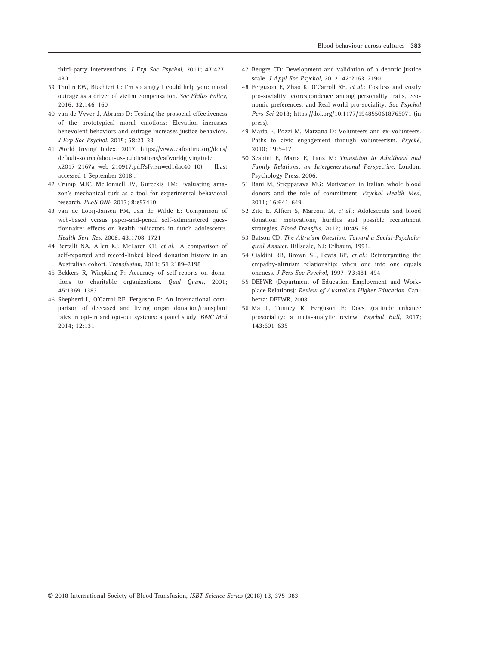third-party interventions. J Exp Soc Psychol, 2011; 47:477– 480

- 39 Thulin EW, Bicchieri C: I'm so angry I could help you: moral outrage as a driver of victim compensation. Soc Philos Policy, 2016; 32:146–160
- 40 van de Vyver J, Abrams D: Testing the prosocial effectiveness of the prototypical moral emotions: Elevation increases benevolent behaviors and outrage increases justice behaviors. J Exp Soc Psychol, 2015; 58:23–33
- 41 World Giving Index: 2017. [https://www.cafonline.org/docs/](https://www.cafonline.org/docs/default-source/about-us-publications/cafworldgivingindex2017_2167a_web_210917.pdf?sfvrsn=ed1dac40_10) [default-source/about-us-publications/cafworldgivinginde](https://www.cafonline.org/docs/default-source/about-us-publications/cafworldgivingindex2017_2167a_web_210917.pdf?sfvrsn=ed1dac40_10) [x2017\\_2167a\\_web\\_210917.pdf?sfvrsn=ed1dac40\\_10](https://www.cafonline.org/docs/default-source/about-us-publications/cafworldgivingindex2017_2167a_web_210917.pdf?sfvrsn=ed1dac40_10)). [Last accessed 1 September 2018].
- 42 Crump MJC, McDonnell JV, Gureckis TM: Evaluating amazon's mechanical turk as a tool for experimental behavioral research. PLoS ONE 2013; 8:e57410
- 43 van de Looij-Jansen PM, Jan de Wilde E: Comparison of web-based versus paper-and-pencil self-administered questionnaire: effects on health indicators in dutch adolescents. Health Serv Res, 2008; 43:1708–1721
- 44 Bertalli NA, Allen KJ, McLaren CE, et al.: A comparison of self-reported and record-linked blood donation history in an Australian cohort. Transfusion, 2011; 51:2189–2198
- 45 Bekkers R, Wiepking P: Accuracy of self-reports on donations to charitable organizations. Qual Quant, 2001; 45:1369–1383
- 46 Shepherd L, O'Carrol RE, Ferguson E: An international comparison of deceased and living organ donation/transplant rates in opt-in and opt-out systems: a panel study. BMC Med 2014; 12:131
- 47 Beugre CD: Development and validation of a deontic justice scale. J Appl Soc Psychol, 2012; 42:2163–2190
- 48 Ferguson E, Zhao K, O'Carroll RE, et al.: Costless and costly pro-sociality: correspondence among personality traits, economic preferences, and Real world pro-sociality. Soc Psychol Pers Sci 2018;<https://doi.org/10.1177/1948550618765071> (in press).
- 49 Marta E, Pozzi M, Marzana D: Volunteers and ex-volunteers. Paths to civic engagement through volunteerism. Psycké, 2010; 19:5–17
- 50 Scabini E, Marta E, Lanz M: Transition to Adulthood and Family Relations: an Intergenerational Perspective. London: Psychology Press, 2006.
- 51 Bani M, Strepparava MG: Motivation in Italian whole blood donors and the role of commitment. Psychol Health Med, 2011; 16:641–649
- 52 Zito E, Alfieri S, Marconi M, et al.: Adolescents and blood donation: motivations, hurdles and possible recruitment strategies. Blood Transfus, 2012; 10:45–58
- 53 Batson CD: The Altruism Question: Toward a Social-Psychological Answer. Hillsdale, NJ: Erlbaum, 1991.
- 54 Cialdini RB, Brown SL, Lewis BP, et al.: Reinterpreting the empathy-altruism relationship: when one into one equals oneness. J Pers Soc Psychol, 1997; 73:481–494
- 55 DEEWR (Department of Education Employment and Workplace Relations): Review of Australian Higher Education. Canberra: DEEWR, 2008.
- 56 Ma L, Tunney R, Ferguson E: Does gratitude enhance prosociality: a meta-analytic review. Psychol Bull, 2017; 143:601–635